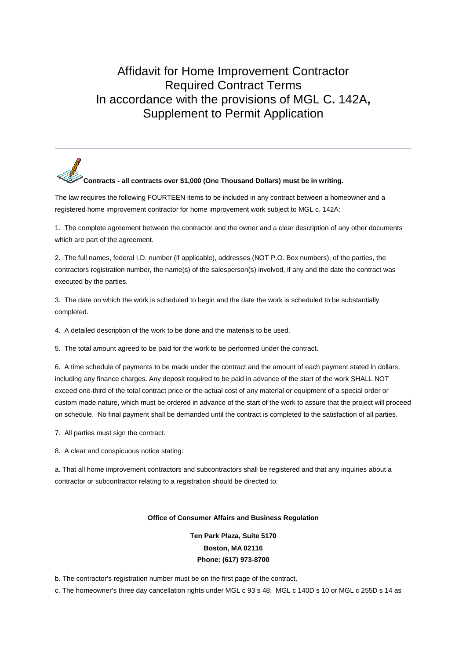## Affidavit for Home Improvement Contractor Required Contract Terms In accordance with the provisions of MGL C**.** 142A**,** Supplement to Permit Application

## **Contracts - all contracts over \$1,000 (One Thousand Dollars) must be in writing.**

The law requires the following FOURTEEN items to be included in any contract between a homeowner and a registered home improvement contractor for home improvement work subject to MGL c. 142A:

1. The complete agreement between the contractor and the owner and a clear description of any other documents which are part of the agreement.

2. The full names, federal I.D. number (if applicable), addresses (NOT P.O. Box numbers), of the parties, the contractors registration number, the name(s) of the salesperson(s) involved, if any and the date the contract was executed by the parties.

3. The date on which the work is scheduled to begin and the date the work is scheduled to be substantially completed.

4. A detailed description of the work to be done and the materials to be used.

5. The total amount agreed to be paid for the work to be performed under the contract.

6. A time schedule of payments to be made under the contract and the amount of each payment stated in dollars, including any finance charges. Any deposit required to be paid in advance of the start of the work SHALL NOT exceed one-third of the total contract price or the actual cost of any material or equipment of a special order or custom made nature, which must be ordered in advance of the start of the work to assure that the project will proceed on schedule. No final payment shall be demanded until the contract is completed to the satisfaction of all parties.

7. All parties must sign the contract.

8. A clear and conspicuous notice stating:

a. That all home improvement contractors and subcontractors shall be registered and that any inquiries about a contractor or subcontractor relating to a registration should be directed to:

## **Office of Consumer Affairs and Business Regulation**

**Ten Park Plaza, Suite 5170 Boston, MA 02116 Phone: (617) 973-8700**

b. The contractor's registration number must be on the first page of the contract.

c. The homeowner's three day cancellation rights under MGL c 93 s 48; MGL c 140D s 10 or MGL c 255D s 14 as